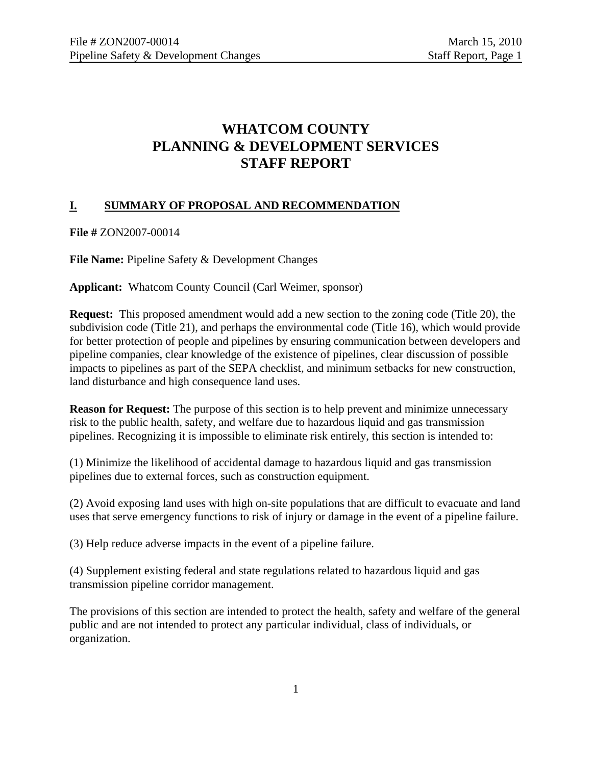# **WHATCOM COUNTY PLANNING & DEVELOPMENT SERVICES STAFF REPORT**

## **I. SUMMARY OF PROPOSAL AND RECOMMENDATION**

**File #** ZON2007-00014

**File Name:** Pipeline Safety & Development Changes

**Applicant:** Whatcom County Council (Carl Weimer, sponsor)

**Request:** This proposed amendment would add a new section to the zoning code (Title 20), the subdivision code (Title 21), and perhaps the environmental code (Title 16), which would provide for better protection of people and pipelines by ensuring communication between developers and pipeline companies, clear knowledge of the existence of pipelines, clear discussion of possible impacts to pipelines as part of the SEPA checklist, and minimum setbacks for new construction, land disturbance and high consequence land uses.

**Reason for Request:** The purpose of this section is to help prevent and minimize unnecessary risk to the public health, safety, and welfare due to hazardous liquid and gas transmission pipelines. Recognizing it is impossible to eliminate risk entirely, this section is intended to:

(1) Minimize the likelihood of accidental damage to hazardous liquid and gas transmission pipelines due to external forces, such as construction equipment.

(2) Avoid exposing land uses with high on-site populations that are difficult to evacuate and land uses that serve emergency functions to risk of injury or damage in the event of a pipeline failure.

(3) Help reduce adverse impacts in the event of a pipeline failure.

(4) Supplement existing federal and state regulations related to hazardous liquid and gas transmission pipeline corridor management.

The provisions of this section are intended to protect the health, safety and welfare of the general public and are not intended to protect any particular individual, class of individuals, or organization.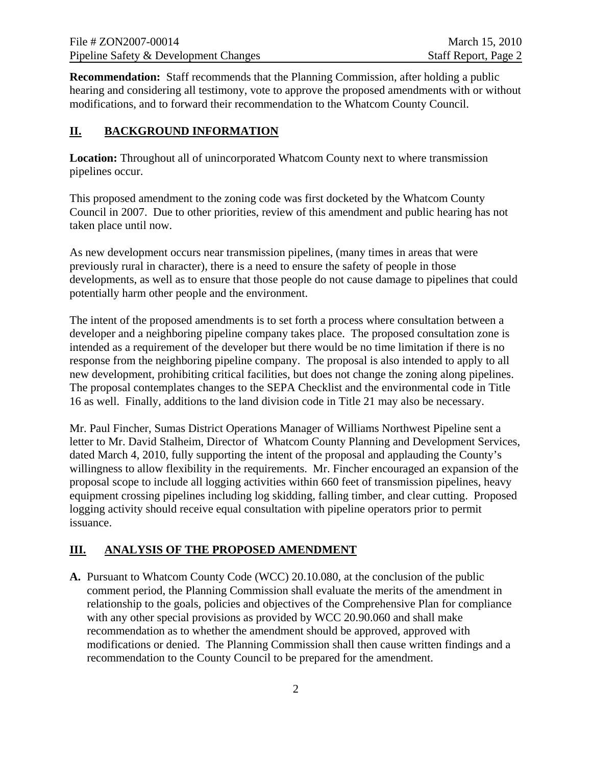**Recommendation:** Staff recommends that the Planning Commission, after holding a public hearing and considering all testimony, vote to approve the proposed amendments with or without modifications, and to forward their recommendation to the Whatcom County Council.

## **II. BACKGROUND INFORMATION**

**Location:** Throughout all of unincorporated Whatcom County next to where transmission pipelines occur.

This proposed amendment to the zoning code was first docketed by the Whatcom County Council in 2007. Due to other priorities, review of this amendment and public hearing has not taken place until now.

As new development occurs near transmission pipelines, (many times in areas that were previously rural in character), there is a need to ensure the safety of people in those developments, as well as to ensure that those people do not cause damage to pipelines that could potentially harm other people and the environment.

The intent of the proposed amendments is to set forth a process where consultation between a developer and a neighboring pipeline company takes place. The proposed consultation zone is intended as a requirement of the developer but there would be no time limitation if there is no response from the neighboring pipeline company. The proposal is also intended to apply to all new development, prohibiting critical facilities, but does not change the zoning along pipelines. The proposal contemplates changes to the SEPA Checklist and the environmental code in Title 16 as well. Finally, additions to the land division code in Title 21 may also be necessary.

Mr. Paul Fincher, Sumas District Operations Manager of Williams Northwest Pipeline sent a letter to Mr. David Stalheim, Director of Whatcom County Planning and Development Services, dated March 4, 2010, fully supporting the intent of the proposal and applauding the County's willingness to allow flexibility in the requirements. Mr. Fincher encouraged an expansion of the proposal scope to include all logging activities within 660 feet of transmission pipelines, heavy equipment crossing pipelines including log skidding, falling timber, and clear cutting. Proposed logging activity should receive equal consultation with pipeline operators prior to permit issuance.

## **III. ANALYSIS OF THE PROPOSED AMENDMENT**

**A.** Pursuant to Whatcom County Code (WCC) 20.10.080, at the conclusion of the public comment period, the Planning Commission shall evaluate the merits of the amendment in relationship to the goals, policies and objectives of the Comprehensive Plan for compliance with any other special provisions as provided by WCC 20.90.060 and shall make recommendation as to whether the amendment should be approved, approved with modifications or denied. The Planning Commission shall then cause written findings and a recommendation to the County Council to be prepared for the amendment.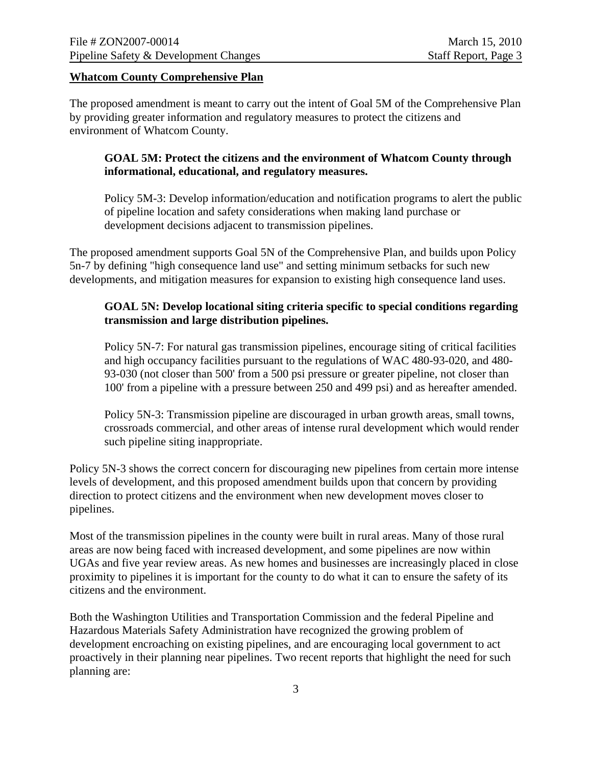#### **Whatcom County Comprehensive Plan**

The proposed amendment is meant to carry out the intent of Goal 5M of the Comprehensive Plan by providing greater information and regulatory measures to protect the citizens and environment of Whatcom County.

#### **GOAL 5M: Protect the citizens and the environment of Whatcom County through informational, educational, and regulatory measures.**

Policy 5M-3: Develop information/education and notification programs to alert the public of pipeline location and safety considerations when making land purchase or development decisions adjacent to transmission pipelines.

The proposed amendment supports Goal 5N of the Comprehensive Plan, and builds upon Policy 5n-7 by defining "high consequence land use" and setting minimum setbacks for such new developments, and mitigation measures for expansion to existing high consequence land uses.

### **GOAL 5N: Develop locational siting criteria specific to special conditions regarding transmission and large distribution pipelines.**

Policy 5N-7: For natural gas transmission pipelines, encourage siting of critical facilities and high occupancy facilities pursuant to the regulations of WAC 480-93-020, and 480- 93-030 (not closer than 500' from a 500 psi pressure or greater pipeline, not closer than 100' from a pipeline with a pressure between 250 and 499 psi) and as hereafter amended.

Policy 5N-3: Transmission pipeline are discouraged in urban growth areas, small towns, crossroads commercial, and other areas of intense rural development which would render such pipeline siting inappropriate.

Policy 5N-3 shows the correct concern for discouraging new pipelines from certain more intense levels of development, and this proposed amendment builds upon that concern by providing direction to protect citizens and the environment when new development moves closer to pipelines.

Most of the transmission pipelines in the county were built in rural areas. Many of those rural areas are now being faced with increased development, and some pipelines are now within UGAs and five year review areas. As new homes and businesses are increasingly placed in close proximity to pipelines it is important for the county to do what it can to ensure the safety of its citizens and the environment.

Both the Washington Utilities and Transportation Commission and the federal Pipeline and Hazardous Materials Safety Administration have recognized the growing problem of development encroaching on existing pipelines, and are encouraging local government to act proactively in their planning near pipelines. Two recent reports that highlight the need for such planning are: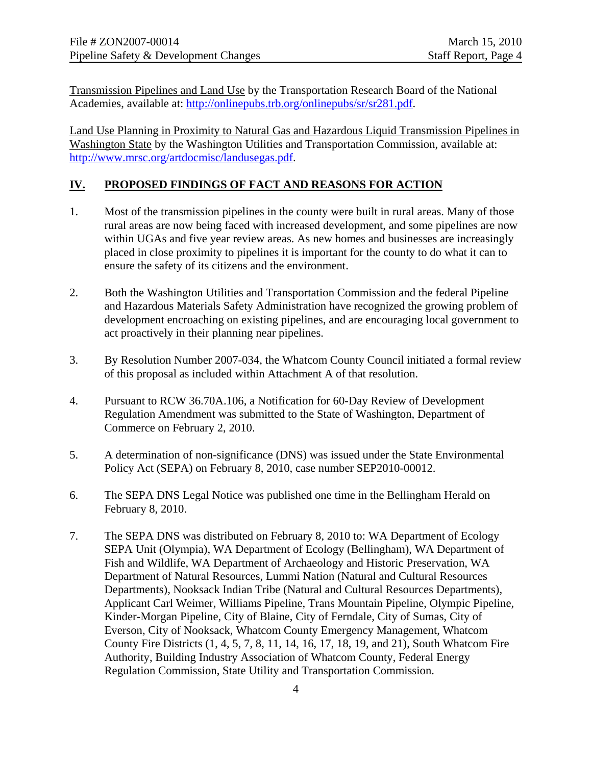Transmission Pipelines and Land Use by the Transportation Research Board of the National Academies, available at: [http://onlinepubs.trb.org/onlinepubs/sr/sr281.pdf.](http://onlinepubs.trb.org/onlinepubs/sr/sr281.pdf)

Land Use Planning in Proximity to Natural Gas and Hazardous Liquid Transmission Pipelines in Washington State by the Washington Utilities and Transportation Commission, available at: <http://www.mrsc.org/artdocmisc/landusegas.pdf>.

## **IV. PROPOSED FINDINGS OF FACT AND REASONS FOR ACTION**

- 1. Most of the transmission pipelines in the county were built in rural areas. Many of those rural areas are now being faced with increased development, and some pipelines are now within UGAs and five year review areas. As new homes and businesses are increasingly placed in close proximity to pipelines it is important for the county to do what it can to ensure the safety of its citizens and the environment.
- 2. Both the Washington Utilities and Transportation Commission and the federal Pipeline and Hazardous Materials Safety Administration have recognized the growing problem of development encroaching on existing pipelines, and are encouraging local government to act proactively in their planning near pipelines.
- 3. By Resolution Number 2007-034, the Whatcom County Council initiated a formal review of this proposal as included within Attachment A of that resolution.
- 4. Pursuant to RCW 36.70A.106, a Notification for 60-Day Review of Development Regulation Amendment was submitted to the State of Washington, Department of Commerce on February 2, 2010.
- 5. A determination of non-significance (DNS) was issued under the State Environmental Policy Act (SEPA) on February 8, 2010, case number SEP2010-00012.
- 6. The SEPA DNS Legal Notice was published one time in the Bellingham Herald on February 8, 2010.
- 7. The SEPA DNS was distributed on February 8, 2010 to: WA Department of Ecology SEPA Unit (Olympia), WA Department of Ecology (Bellingham), WA Department of Fish and Wildlife, WA Department of Archaeology and Historic Preservation, WA Department of Natural Resources, Lummi Nation (Natural and Cultural Resources Departments), Nooksack Indian Tribe (Natural and Cultural Resources Departments), Applicant Carl Weimer, Williams Pipeline, Trans Mountain Pipeline, Olympic Pipeline, Kinder-Morgan Pipeline, City of Blaine, City of Ferndale, City of Sumas, City of Everson, City of Nooksack, Whatcom County Emergency Management, Whatcom County Fire Districts (1, 4, 5, 7, 8, 11, 14, 16, 17, 18, 19, and 21), South Whatcom Fire Authority, Building Industry Association of Whatcom County, Federal Energy Regulation Commission, State Utility and Transportation Commission.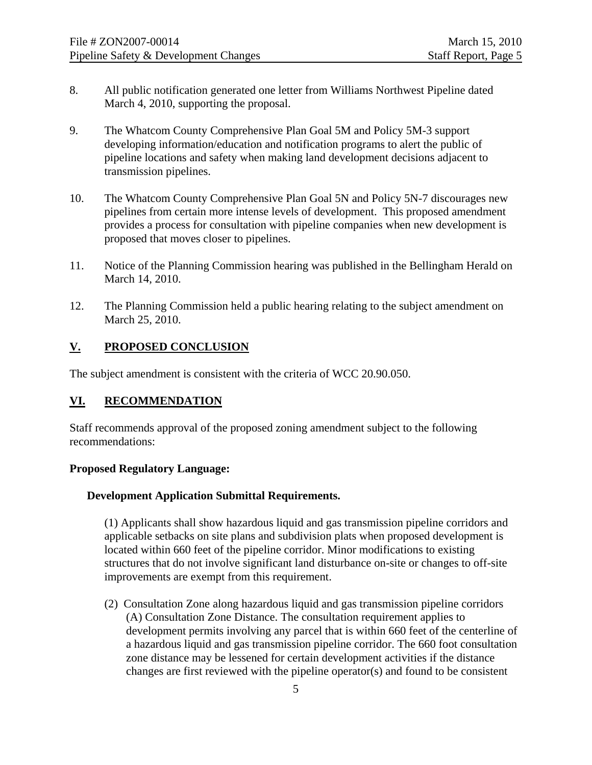- 8. All public notification generated one letter from Williams Northwest Pipeline dated March 4, 2010, supporting the proposal.
- 9. The Whatcom County Comprehensive Plan Goal 5M and Policy 5M-3 support developing information/education and notification programs to alert the public of pipeline locations and safety when making land development decisions adjacent to transmission pipelines.
- 10. The Whatcom County Comprehensive Plan Goal 5N and Policy 5N-7 discourages new pipelines from certain more intense levels of development. This proposed amendment provides a process for consultation with pipeline companies when new development is proposed that moves closer to pipelines.
- 11. Notice of the Planning Commission hearing was published in the Bellingham Herald on March 14, 2010.
- 12. The Planning Commission held a public hearing relating to the subject amendment on March 25, 2010.

### **V. PROPOSED CONCLUSION**

The subject amendment is consistent with the criteria of WCC 20.90.050.

#### **VI. RECOMMENDATION**

Staff recommends approval of the proposed zoning amendment subject to the following recommendations:

### **Proposed Regulatory Language:**

#### **Development Application Submittal Requirements.**

(1) Applicants shall show hazardous liquid and gas transmission pipeline corridors and applicable setbacks on site plans and subdivision plats when proposed development is located within 660 feet of the pipeline corridor. Minor modifications to existing structures that do not involve significant land disturbance on-site or changes to off-site improvements are exempt from this requirement.

 (2) Consultation Zone along hazardous liquid and gas transmission pipeline corridors (A) Consultation Zone Distance. The consultation requirement applies to development permits involving any parcel that is within 660 feet of the centerline of a hazardous liquid and gas transmission pipeline corridor. The 660 foot consultation zone distance may be lessened for certain development activities if the distance changes are first reviewed with the pipeline operator(s) and found to be consistent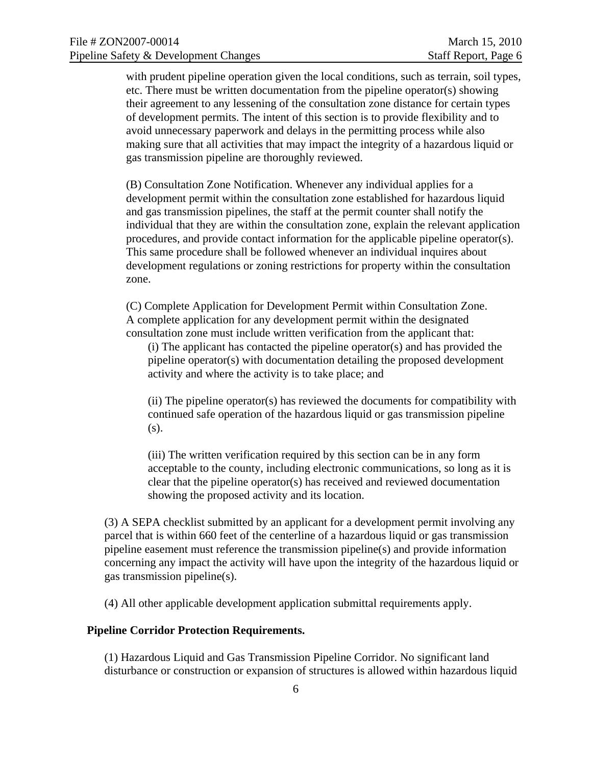with prudent pipeline operation given the local conditions, such as terrain, soil types, etc. There must be written documentation from the pipeline operator(s) showing their agreement to any lessening of the consultation zone distance for certain types of development permits. The intent of this section is to provide flexibility and to avoid unnecessary paperwork and delays in the permitting process while also making sure that all activities that may impact the integrity of a hazardous liquid or gas transmission pipeline are thoroughly reviewed.

(B) Consultation Zone Notification. Whenever any individual applies for a development permit within the consultation zone established for hazardous liquid and gas transmission pipelines, the staff at the permit counter shall notify the individual that they are within the consultation zone, explain the relevant application procedures, and provide contact information for the applicable pipeline operator(s). This same procedure shall be followed whenever an individual inquires about development regulations or zoning restrictions for property within the consultation zone.

(C) Complete Application for Development Permit within Consultation Zone. A complete application for any development permit within the designated consultation zone must include written verification from the applicant that:

(i) The applicant has contacted the pipeline operator(s) and has provided the pipeline operator(s) with documentation detailing the proposed development activity and where the activity is to take place; and

(ii) The pipeline operator(s) has reviewed the documents for compatibility with continued safe operation of the hazardous liquid or gas transmission pipeline (s).

(iii) The written verification required by this section can be in any form acceptable to the county, including electronic communications, so long as it is clear that the pipeline operator(s) has received and reviewed documentation showing the proposed activity and its location.

(3) A SEPA checklist submitted by an applicant for a development permit involving any parcel that is within 660 feet of the centerline of a hazardous liquid or gas transmission pipeline easement must reference the transmission pipeline(s) and provide information concerning any impact the activity will have upon the integrity of the hazardous liquid or gas transmission pipeline(s).

(4) All other applicable development application submittal requirements apply.

#### **Pipeline Corridor Protection Requirements.**

(1) Hazardous Liquid and Gas Transmission Pipeline Corridor. No significant land disturbance or construction or expansion of structures is allowed within hazardous liquid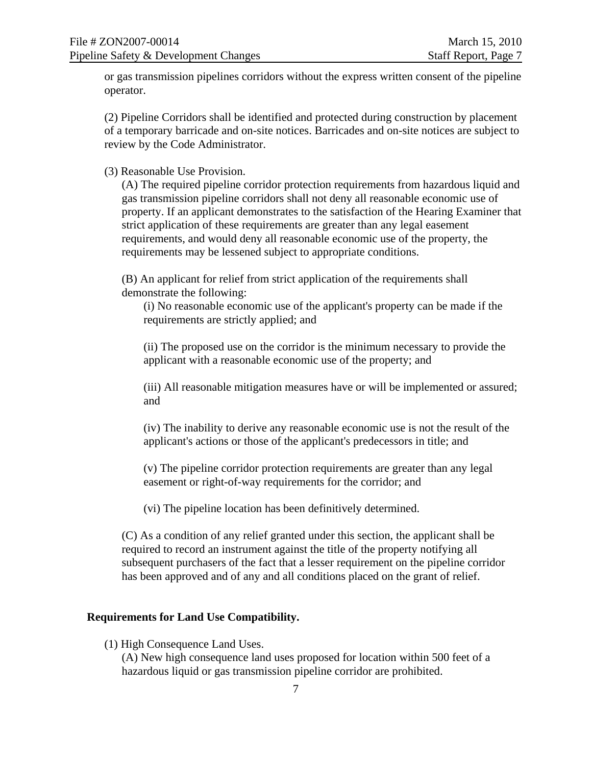or gas transmission pipelines corridors without the express written consent of the pipeline operator.

(2) Pipeline Corridors shall be identified and protected during construction by placement of a temporary barricade and on-site notices. Barricades and on-site notices are subject to review by the Code Administrator.

(3) Reasonable Use Provision.

(A) The required pipeline corridor protection requirements from hazardous liquid and gas transmission pipeline corridors shall not deny all reasonable economic use of property. If an applicant demonstrates to the satisfaction of the Hearing Examiner that strict application of these requirements are greater than any legal easement requirements, and would deny all reasonable economic use of the property, the requirements may be lessened subject to appropriate conditions.

(B) An applicant for relief from strict application of the requirements shall demonstrate the following:

(i) No reasonable economic use of the applicant's property can be made if the requirements are strictly applied; and

(ii) The proposed use on the corridor is the minimum necessary to provide the applicant with a reasonable economic use of the property; and

(iii) All reasonable mitigation measures have or will be implemented or assured; and

(iv) The inability to derive any reasonable economic use is not the result of the applicant's actions or those of the applicant's predecessors in title; and

(v) The pipeline corridor protection requirements are greater than any legal easement or right-of-way requirements for the corridor; and

(vi) The pipeline location has been definitively determined.

(C) As a condition of any relief granted under this section, the applicant shall be required to record an instrument against the title of the property notifying all subsequent purchasers of the fact that a lesser requirement on the pipeline corridor has been approved and of any and all conditions placed on the grant of relief.

#### **Requirements for Land Use Compatibility.**

(1) High Consequence Land Uses.

(A) New high consequence land uses proposed for location within 500 feet of a hazardous liquid or gas transmission pipeline corridor are prohibited.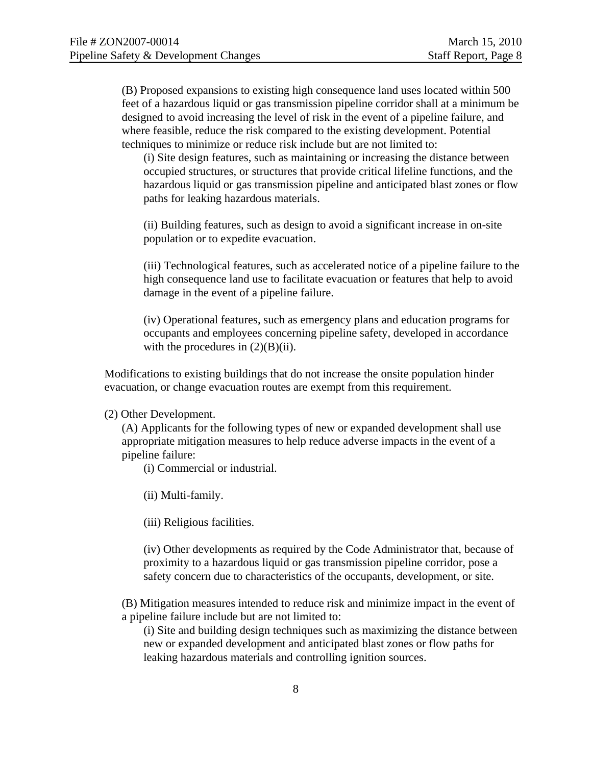(B) Proposed expansions to existing high consequence land uses located within 500 feet of a hazardous liquid or gas transmission pipeline corridor shall at a minimum be designed to avoid increasing the level of risk in the event of a pipeline failure, and where feasible, reduce the risk compared to the existing development. Potential techniques to minimize or reduce risk include but are not limited to:

(i) Site design features, such as maintaining or increasing the distance between occupied structures, or structures that provide critical lifeline functions, and the hazardous liquid or gas transmission pipeline and anticipated blast zones or flow paths for leaking hazardous materials.

(ii) Building features, such as design to avoid a significant increase in on-site population or to expedite evacuation.

(iii) Technological features, such as accelerated notice of a pipeline failure to the high consequence land use to facilitate evacuation or features that help to avoid damage in the event of a pipeline failure.

(iv) Operational features, such as emergency plans and education programs for occupants and employees concerning pipeline safety, developed in accordance with the procedures in  $(2)(B)(ii)$ .

Modifications to existing buildings that do not increase the onsite population hinder evacuation, or change evacuation routes are exempt from this requirement.

#### (2) Other Development.

(A) Applicants for the following types of new or expanded development shall use appropriate mitigation measures to help reduce adverse impacts in the event of a pipeline failure:

(i) Commercial or industrial.

(ii) Multi-family.

(iii) Religious facilities.

(iv) Other developments as required by the Code Administrator that, because of proximity to a hazardous liquid or gas transmission pipeline corridor, pose a safety concern due to characteristics of the occupants, development, or site.

(B) Mitigation measures intended to reduce risk and minimize impact in the event of a pipeline failure include but are not limited to:

(i) Site and building design techniques such as maximizing the distance between new or expanded development and anticipated blast zones or flow paths for leaking hazardous materials and controlling ignition sources.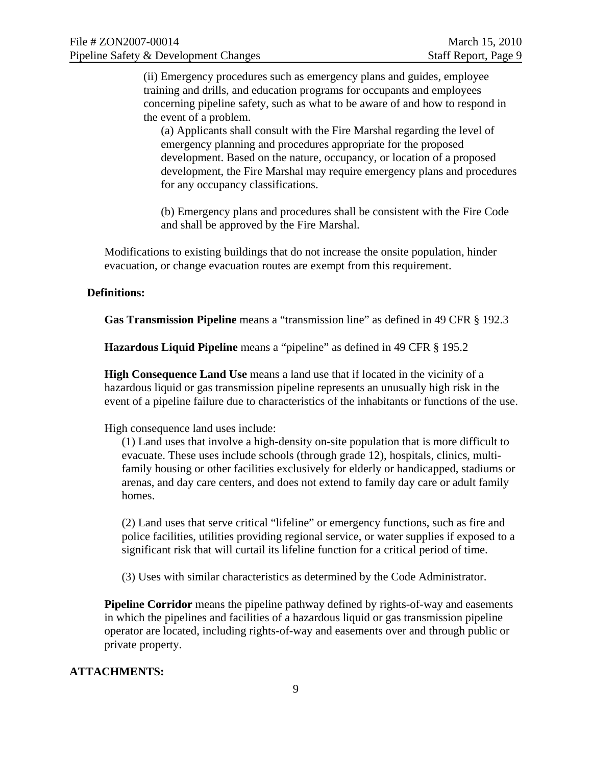(ii) Emergency procedures such as emergency plans and guides, employee training and drills, and education programs for occupants and employees concerning pipeline safety, such as what to be aware of and how to respond in the event of a problem.

(a) Applicants shall consult with the Fire Marshal regarding the level of emergency planning and procedures appropriate for the proposed development. Based on the nature, occupancy, or location of a proposed development, the Fire Marshal may require emergency plans and procedures for any occupancy classifications.

(b) Emergency plans and procedures shall be consistent with the Fire Code and shall be approved by the Fire Marshal.

Modifications to existing buildings that do not increase the onsite population, hinder evacuation, or change evacuation routes are exempt from this requirement.

#### **Definitions:**

**Gas Transmission Pipeline** means a "transmission line" as defined in 49 CFR § 192.3

**Hazardous Liquid Pipeline** means a "pipeline" as defined in 49 CFR § 195.2

**High Consequence Land Use** means a land use that if located in the vicinity of a hazardous liquid or gas transmission pipeline represents an unusually high risk in the event of a pipeline failure due to characteristics of the inhabitants or functions of the use.

High consequence land uses include:

(1) Land uses that involve a high-density on-site population that is more difficult to evacuate. These uses include schools (through grade 12), hospitals, clinics, multifamily housing or other facilities exclusively for elderly or handicapped, stadiums or arenas, and day care centers, and does not extend to family day care or adult family homes.

(2) Land uses that serve critical "lifeline" or emergency functions, such as fire and police facilities, utilities providing regional service, or water supplies if exposed to a significant risk that will curtail its lifeline function for a critical period of time.

(3) Uses with similar characteristics as determined by the Code Administrator.

**Pipeline Corridor** means the pipeline pathway defined by rights-of-way and easements in which the pipelines and facilities of a hazardous liquid or gas transmission pipeline operator are located, including rights-of-way and easements over and through public or private property.

#### **ATTACHMENTS:**